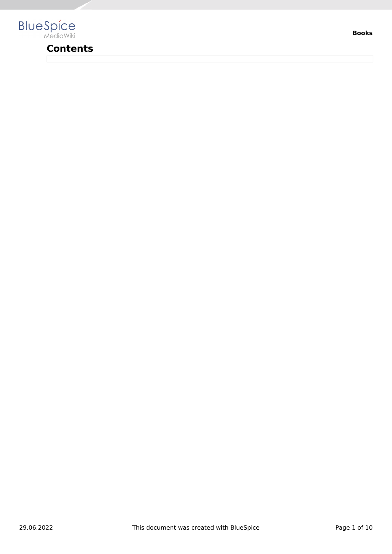

## **Contents**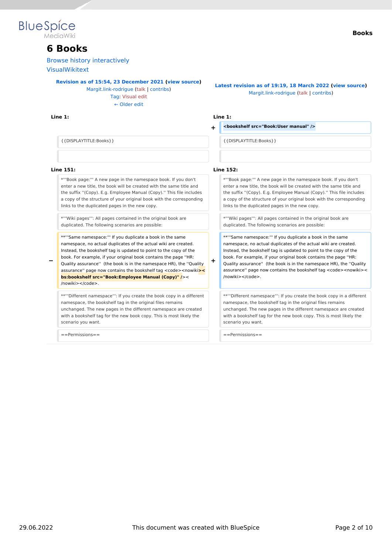

## **6 Books**

[Browse history interactively](https://en.wiki.bluespice.com)

[VisualWikitext](https://en.wiki.bluespice.com)

**[Revision as of 15:54, 23 December 2021](https://en.wiki.bluespice.com/w/index.php?title=Manual:Extension/BlueSpiceBookshelf&oldid=1802) ([view source\)](https://en.wiki.bluespice.com/w/index.php?title=Manual:Extension/BlueSpiceBookshelf&action=edit&oldid=1802)**

[Margit.link-rodrigue](https://en.wiki.bluespice.com/wiki/User:Margit.link-rodrigue) ([talk](https://en.wiki.bluespice.com/w/index.php?title=User_talk:Margit.link-rodrigue&action=view) | [contribs](https://en.wiki.bluespice.com/wiki/Special:Contributions/Margit.link-rodrigue)) [Tag](https://en.wiki.bluespice.com/wiki/Special:Tags): [Visual edit](https://en.wiki.bluespice.com/w/index.php?title=Site:VisualEditor&action=view) [← Older edit](https://en.wiki.bluespice.com/w/index.php?title=Manual:Extension/BlueSpiceBookshelf&diff=prev&oldid=1802)

#### **Line 1: Line 1:**

#### **Books**

**[Latest revision as of 19:19, 18 March 2022](https://en.wiki.bluespice.com/w/index.php?title=Manual:Extension/BlueSpiceBookshelf&oldid=2824) ([view source](https://en.wiki.bluespice.com/w/index.php?title=Manual:Extension/BlueSpiceBookshelf&action=edit))** [Margit.link-rodrigue](https://en.wiki.bluespice.com/wiki/User:Margit.link-rodrigue) [\(talk](https://en.wiki.bluespice.com/w/index.php?title=User_talk:Margit.link-rodrigue&action=view) | [contribs\)](https://en.wiki.bluespice.com/wiki/Special:Contributions/Margit.link-rodrigue)

**+ <bookshelf src="Book:User manual" />**

{{DISPLAYTITLE:Books}} {{DISPLAYTITLE:Books}}

#### **Line 151: Line 152:**

\*'''Book page:''' A new page in the namespace book. If you don't enter a new title, the book will be created with the same title and the suffix ''(Copy). E.g. Employee Manual (Copy).'' This file includes a copy of the structure of your original book with the corresponding links to the duplicated pages in the new copy.

\*'''Wiki pages''': All pages contained in the original book are duplicated. The following scenarios are possible:

\*\*'''Same namespace:''' If you duplicate a book in the same namespace, no actual duplicates of the actual wiki are created. Instead, the bookshelf tag is updated to point to the copy of the book. For example, if your original book contains the page ''HR:

**−** Quality assurance'' (the book is in the namespace HR), the ''Quality assurance" page now contains the bookshelf tag <code><nowiki**>< bs:bookshelf src="Book:Employee Manual (Copy)" /**>< /nowiki></code>.

\*\*'''Different namespace''': If you create the book copy in a different namespace, the bookshelf tag in the original files remains unchanged. The new pages in the different namespace are created with a bookshelf tag for the new book copy. This is most likely the scenario you want.

==Permissions== ==Permissions==

**+**

\*'''Book page:''' A new page in the namespace book. If you don't enter a new title, the book will be created with the same title and the suffix ''(Copy). E.g. Employee Manual (Copy).'' This file includes a copy of the structure of your original book with the corresponding links to the duplicated pages in the new copy.

\*'''Wiki pages''': All pages contained in the original book are duplicated. The following scenarios are possible:

\*\*'''Same namespace:''' If you duplicate a book in the same namespace, no actual duplicates of the actual wiki are created. Instead, the bookshelf tag is updated to point to the copy of the book. For example, if your original book contains the page ''HR: Quality assurance'' (the book is in the namespace HR), the ''Quality assurance" page now contains the bookshelf tag <code><nowiki>< /nowiki></code>.

\*\*'''Different namespace''': If you create the book copy in a different namespace, the bookshelf tag in the original files remains unchanged. The new pages in the different namespace are created with a bookshelf tag for the new book copy. This is most likely the scenario you want.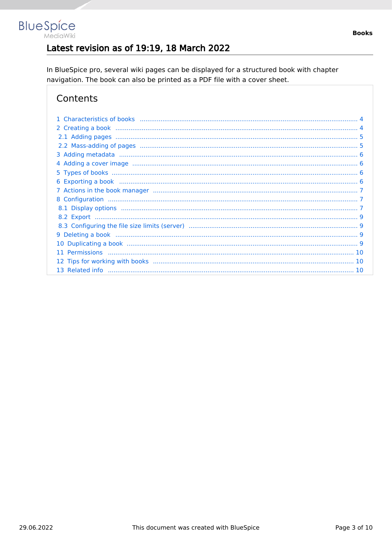## Latest revision as of 19:19, 18 March 2022

In BlueSpice pro, several wiki pages can be displayed for a structured book with chapter navigation. The book can also be printed as a PDF file with a cover sheet.

## Contents

**BlueSpice** 

MediaWiki

| 11 |  |
|----|--|
|    |  |
|    |  |
|    |  |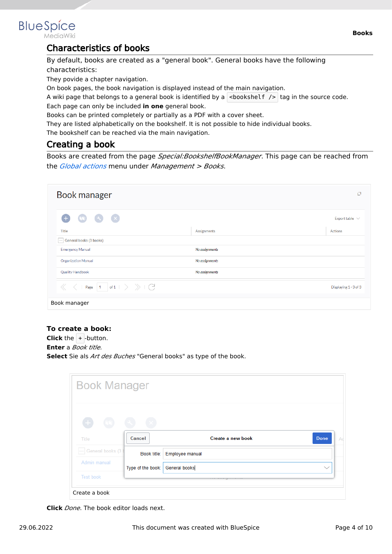<span id="page-3-0"></span>

MediaWiki

### Characteristics of books

By default, books are created as a "general book". General books have the following characteristics:

They povide a chapter navigation.

On book pages, the book navigation is displayed instead of the main navigation.

A wiki page that belongs to a general book is identified by a  $\vert$  <br/>bookshelf />  $\vert$  tag in the source code. Each page can only be included **in one** general book.

Books can be printed completely or partially as a PDF with a cover sheet.

They are listed alphabetically on the bookshelf. It is not possible to hide individual books.

The bookshelf can be reached via the main navigation.

### <span id="page-3-1"></span>Creating a book

Books are created from the page *Special:BookshelfBookManager*. This page can be reached from the *[Global actions](https://en.wiki.bluespice.com/wiki/Manual:Extension/BlueSpiceDiscovery)* menu under *Management > Books*.

| Book manager                                                                                                                               |                | O                     |
|--------------------------------------------------------------------------------------------------------------------------------------------|----------------|-----------------------|
| $\left( \infty \right)$ $\left( \infty \right)$<br>Œ<br>$\sqrt{2}$                                                                         |                | Export table $\vee$   |
| <b>Title</b>                                                                                                                               | Assignments    | Actions               |
| General books (3 books)                                                                                                                    |                |                       |
| <b>Emergency Manual</b>                                                                                                                    | No assignments |                       |
| <b>Organization Manual</b>                                                                                                                 | No assignments |                       |
| <b>Quality Handbook</b>                                                                                                                    | No assignments |                       |
| Page $\begin{array}{ c c c c }\n\hline\n1 & \text{of} 1 & \rightarrow & \rightarrow & \begin{array}{c}\n\searrow & \searrow & \end{array}$ |                | Displaying 1 - 3 of 3 |
| Book manager                                                                                                                               |                |                       |

#### **To create a book:**

**Click** the  $+$  -button. **Enter** a *Book title.* **Select** Sie als *Art des Buches* "General books" as type of the book.

| <b>Book Manager</b>              |                   |                             |                   |              |
|----------------------------------|-------------------|-----------------------------|-------------------|--------------|
| $\begin{array}{c} + \end{array}$ |                   |                             |                   |              |
| Title                            | Cancel            |                             | Create a new book | <b>Done</b>  |
| General books (3)                |                   | Book title: Employee manual |                   |              |
| Admin manual                     | Type of the book: | <b>General books</b>        |                   | $\checkmark$ |
| Test book                        |                   |                             |                   |              |

**Click** *Done*. The book editor loads next.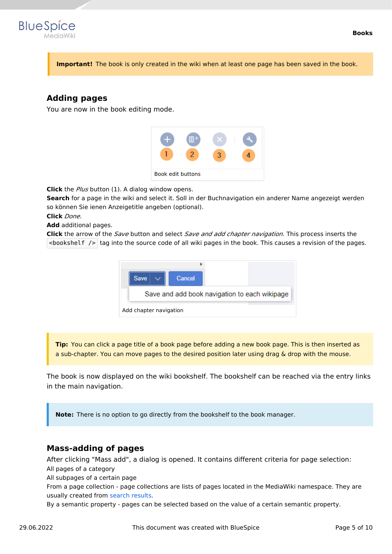

**Important!** The book is only created in the wiki when at least one page has been saved in the book.

### <span id="page-4-0"></span>**Adding pages**

You are now in the book editing mode.



**Click** the *Plus* button (1). A dialog window opens.

**Search** for a page in the wiki and select it. Soll in der Buchnavigation ein anderer Name angezeigt werden so können Sie ienen Anzeigetitle angeben (optional).

**Click** *Done*.

**Add** additional pages.

**Click** the arrow of the *Save* button and select *Save and add chapter navigation.* This process inserts the  $\leq$ bookshelf /> tag into the source code of all wiki pages in the book. This causes a revision of the pages.



**Tip:** You can click a page title of a book page before adding a new book page. This is then inserted as a sub-chapter. You can move pages to the desired position later using drag & drop with the mouse.

The book is now displayed on the wiki bookshelf. The bookshelf can be reached via the entry links in the main navigation.

**Note:** There is no option to go directly from the bookshelf to the book manager.

#### <span id="page-4-1"></span>**Mass-adding of pages**

After clicking "Mass add", a dialog is opened. It contains different criteria for page selection: All pages of a category

All subpages of a certain page

From a page collection - page collections are lists of pages located in the MediaWiki namespace. They are usually created from [search results](https://en.wiki.bluespice.com/wiki/Manual:Extension/BlueSpiceExtendedSearch#Export).

By a semantic property - pages can be selected based on the value of a certain semantic property.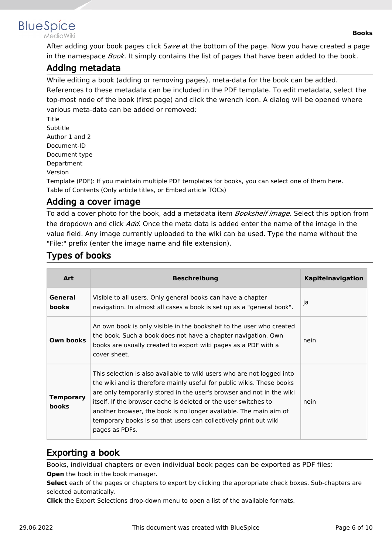<span id="page-5-0"></span>

MediaWiki

After adding your book pages click S*ave* at the bottom of the page. Now you have created a page in the namespace *Book*. It simply contains the list of pages that have been added to the book.

### Adding metadata

While editing a book (adding or removing pages), meta-data for the book can be added. References to these metadata can be included in the PDF template. To edit metadata, select the top-most node of the book (first page) and click the wrench icon. A dialog will be opened where various meta-data can be added or removed:

Title Subtitle Author 1 and 2 Document-ID Document type Department Version

Template (PDF): If you maintain multiple PDF templates for books, you can select one of them here. Table of Contents (Only article titles, or Embed article TOCs)

## <span id="page-5-1"></span>Adding a cover image

To add a cover photo for the book, add a metadata item *Bookshelf image*. Select this option from the dropdown and click *Add*. Once the meta data is added enter the name of the image in the value field. Any image currently uploaded to the wiki can be used. Type the name without the "File:" prefix (enter the image name and file extension).

## <span id="page-5-2"></span>Types of books

| <b>Art</b>                | <b>Beschreibung</b>                                                                                                                                                                                                                                                                                                                                                                                                                                    | <b>Kapitelnavigation</b> |
|---------------------------|--------------------------------------------------------------------------------------------------------------------------------------------------------------------------------------------------------------------------------------------------------------------------------------------------------------------------------------------------------------------------------------------------------------------------------------------------------|--------------------------|
| General<br><b>books</b>   | Visible to all users. Only general books can have a chapter<br>navigation. In almost all cases a book is set up as a "general book".                                                                                                                                                                                                                                                                                                                   | ja                       |
| Own books                 | An own book is only visible in the bookshelf to the user who created<br>the book. Such a book does not have a chapter navigation. Own<br>books are usually created to export wiki pages as a PDF with a<br>cover sheet.                                                                                                                                                                                                                                | nein                     |
| Temporary<br><b>books</b> | This selection is also available to wiki users who are not logged into<br>the wiki and is therefore mainly useful for public wikis. These books<br>are only temporarily stored in the user's browser and not in the wiki<br>itself. If the browser cache is deleted or the user switches to<br>another browser, the book is no longer available. The main aim of<br>temporary books is so that users can collectively print out wiki<br>pages as PDFs. | nein                     |

## <span id="page-5-3"></span>Exporting a book

Books, individual chapters or even individual book pages can be exported as PDF files: **Open** the book in the book manager.

**Select** each of the pages or chapters to export by clicking the appropriate check boxes. Sub-chapters are selected automatically.

**Click** the Export Selections drop-down menu to open a list of the available formats.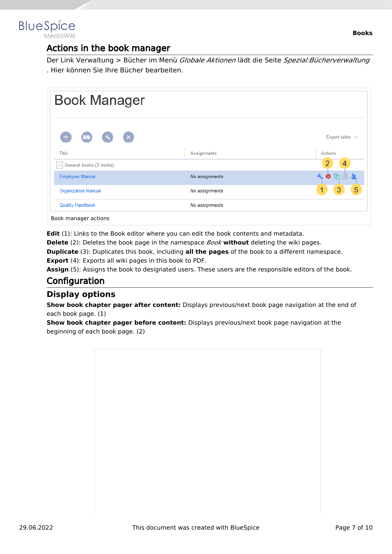<span id="page-6-0"></span>

### Actions in the book manager

Der Link Verwaltung > Bücher im Menü *Globale Aktionen* lädt die Seite *Spezial:Bücherverwaltung* . Hier können Sie Ihre Bücher bearbeiten.

| <b>Book Manager</b>                                           |                |                                        |
|---------------------------------------------------------------|----------------|----------------------------------------|
| $(\times)$<br>$\left( \begin{array}{c} 2 \end{array} \right)$ |                | Export table $\sqrt{ }$                |
| Title                                                         | Assignments    | Actions                                |
| General books (3 books)                                       |                | 4                                      |
| <b>Employee Manual</b>                                        | No assignments | $\mathbf{a}$<br>$\bullet$ $\circ$<br>一 |
| <b>Organization Manual</b>                                    | No assignments | 5<br>3<br>1                            |
| <b>Quality Handbook</b>                                       | No assignments |                                        |
| Book manager actions                                          |                |                                        |

**Edit** (1): Links to the Book editor where you can edit the book contents and metadata.

**Delete** (2): Deletes the book page in the namespace *Book* **without** deleting the wiki pages.

**Duplicate** (3): Duplicates this book, including **all the pages** of the book to a different namespace.

**Export** (4): Exports all wiki pages in this book to PDF.

Assign (5): Assigns the book to designated users. These users are the responsible editors of the book.

## <span id="page-6-1"></span>**Configuration**

#### <span id="page-6-2"></span>**Display options**

**Show book chapter pager after content:** Displays previous/next book page navigation at the end of each book page. (1)

**Show book chapter pager before content:** Displays previous/next book page navigation at the beginning of each book page. (2)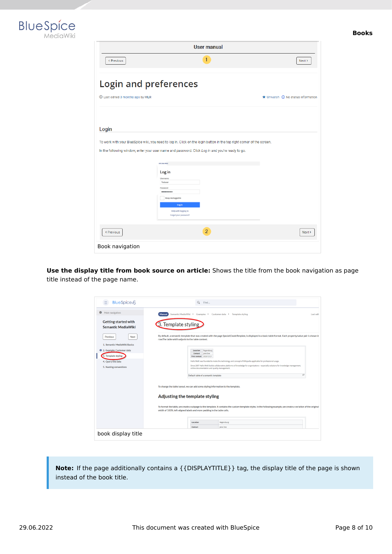



| <b>User manual</b>                |                                                                                                                                                                                                                                                           |                                                     |
|-----------------------------------|-----------------------------------------------------------------------------------------------------------------------------------------------------------------------------------------------------------------------------------------------------------|-----------------------------------------------------|
| < Previous                        | 1                                                                                                                                                                                                                                                         | Next >                                              |
| <b>Login and preferences</b>      |                                                                                                                                                                                                                                                           |                                                     |
| 1 Last edited 3 months ago by MLR |                                                                                                                                                                                                                                                           | $\bigstar$ Unwatch $\bigcirc$ No status information |
|                                   |                                                                                                                                                                                                                                                           |                                                     |
| Login                             |                                                                                                                                                                                                                                                           |                                                     |
|                                   | In the following window, enter your user name and password. Click Log in and you're ready to go.<br>SPECIAL PAGE<br>Log in<br>Username<br>Testuser<br>Password<br><br>Keep me logged in<br>Log in<br><b>Help with logging in</b><br>Forgot your password? |                                                     |
| < Previous                        | $\overline{2}$                                                                                                                                                                                                                                            | Next >                                              |
| Book navigation                   |                                                                                                                                                                                                                                                           |                                                     |

**Use the display title from book source on article:** Shows the title from the book navigation as page title instead of the page name.

| BlueSpice 4<br>Ξ                                         | $\alpha$<br>Find                                                                                                                                                                                                                             |           |
|----------------------------------------------------------|----------------------------------------------------------------------------------------------------------------------------------------------------------------------------------------------------------------------------------------------|-----------|
| Θ<br>Main navigation                                     | Semantic MediaWiki → Examples → Customer data → Template styling<br><b>Manual</b>                                                                                                                                                            | Last edit |
| <b>Getting started with</b><br><b>Semantic MediaWiki</b> | 3. Template styling                                                                                                                                                                                                                          |           |
| Previous<br>Next                                         | By default, a semantic template that was created with the page Special:CreateTemplate, is displayed in a basic table format. Each property/value pair is shown in<br>row.The table width adjusts to the table content.                       |           |
| 1. Semantic MediaWiki Basics                             |                                                                                                                                                                                                                                              |           |
| 2. Example: Customer data                                | Location<br>Regensburg<br>Jane Doe<br>Contact                                                                                                                                                                                                |           |
| 3. Template styling                                      | First contact 2020/12/21                                                                                                                                                                                                                     |           |
| 4. Query the data                                        | Hallo Welt! was founded to make the technology and concept of Wikipedia applicable for professional usage.                                                                                                                                   |           |
| 5. Naming conventions                                    | Since 2007 Hallo Welt! builds collaborative platforms of knowledge for organisations - especially solutions for knowledge management,<br>online documentation and quality management.                                                        |           |
|                                                          | 63<br>Default table of a semantic template                                                                                                                                                                                                   |           |
|                                                          | To change the table layout, we can add some styling information to the template.<br>Adjusting the template styling                                                                                                                           |           |
|                                                          | To format the table, we create a subpage to the template. It contains the custom template styles. In the following example, we create a variation of the original<br>width of 100%, left-aligned labels and more padding in the table cells. |           |
|                                                          | Location<br>Regensburg                                                                                                                                                                                                                       |           |

**Note:** If the page additionally contains a {{DISPLAYTITLE}} tag, the display title of the page is shown instead of the book title.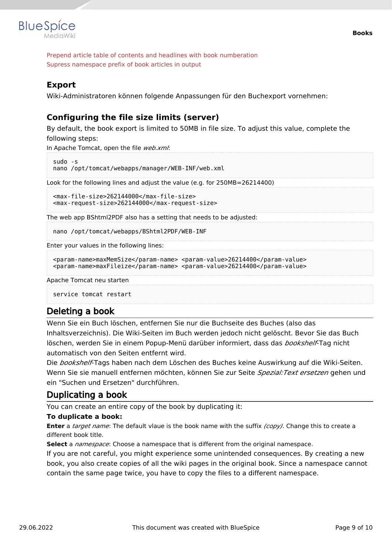

Prepend article table of contents and headlines with book numberation Supress namespace prefix of book articles in output

#### <span id="page-8-0"></span>**Export**

Wiki-Administratoren können folgende Anpassungen für den Buchexport vornehmen:

#### <span id="page-8-1"></span>**Configuring the file size limits (server)**

By default, the book export is limited to 50MB in file size. To adjust this value, complete the following steps:

In Apache Tomcat, open the file *web.xml*:

```
sudo -s
nano /opt/tomcat/webapps/manager/WEB-INF/web.xml
```
Look for the following lines and adjust the value (e.g. for 250MB=26214400)

```
<max-file-size>262144000</max-file-size>
<max-request-size>262144000</max-request-size>
```
The web app BShtml2PDF also has a setting that needs to be adjusted:

nano /opt/tomcat/webapps/BShtml2PDF/WEB-INF

Enter your values in the following lines:

```
<param-name>maxMemSize</param-name> <param-value>26214400</param-value>
<param-name>maxFileize</param-name> <param-value>26214400</param-value>
```
Apache Tomcat neu starten

service tomcat restart

#### <span id="page-8-2"></span>Deleting a book

Wenn Sie ein Buch löschen, entfernen Sie nur die Buchseite des Buches (also das Inhaltsverzeichnis). Die Wiki-Seiten im Buch werden jedoch nicht gelöscht. Bevor Sie das Buch löschen, werden Sie in einem Popup-Menü darüber informiert, dass das *bookshelf*-Tag nicht automatisch von den Seiten entfernt wird.

Die *bookshelf*-Tags haben nach dem Löschen des Buches keine Auswirkung auf die Wiki-Seiten. Wenn Sie sie manuell entfernen möchten, können Sie zur Seite *Spezial:Text ersetzen* gehen und ein "Suchen und Ersetzen" durchführen.

#### <span id="page-8-3"></span>Duplicating a book

You can create an entire copy of the book by duplicating it:

#### **To duplicate a book:**

**Enter** a *target name*: The default vlaue is the book name with the suffix *(copy)*. Change this to create a different book title.

**Select** a *namespace*: Choose a namespace that is different from the original namespace.

If you are not careful, you might experience some unintended consequences. By creating a new book, you also create copies of all the wiki pages in the original book. Since a namespace cannot contain the same page twice, you have to copy the files to a different namespace.